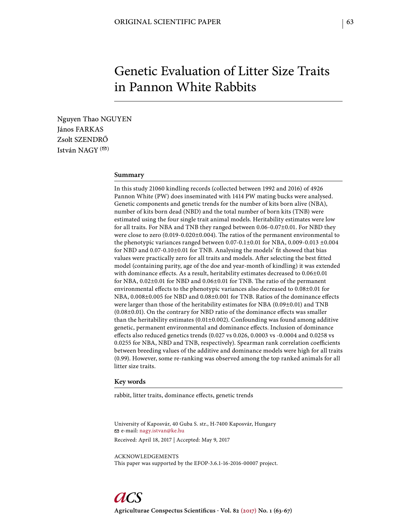# Genetic Evaluation of Litter Size Traits in Pannon White Rabbits

Nguyen Thao NGUYEN János FARKAS Zsolt SZENDRŐ István NAGY  $($ <sup> $\odot$ </sup>)

# **Summary**

In this study 21060 kindling records (collected between 1992 and 2016) of 4926 Pannon White (PW) does inseminated with 1414 PW mating bucks were analysed. Genetic components and genetic trends for the number of kits born alive (NBA), number of kits born dead (NBD) and the total number of born kits (TNB) were estimated using the four single trait animal models. Heritability estimates were low for all traits. For NBA and TNB they ranged between 0.06-0.07±0.01. For NBD they were close to zero  $(0.019-0.020\pm0.004)$ . The ratios of the permanent environmental to the phenotypic variances ranged between  $0.07-0.1\pm0.01$  for NBA,  $0.009-0.013\pm0.004$ for NBD and 0.07-0.10±0.01 for TNB. Analysing the models' fit showed that bias values were practically zero for all traits and models. After selecting the best fitted model (containing parity, age of the doe and year-month of kindling) it was extended with dominance effects. As a result, heritability estimates decreased to  $0.06\pm0.01$ for NBA,  $0.02\pm0.01$  for NBD and  $0.06\pm0.01$  for TNB. The ratio of the permanent environmental effects to the phenotypic variances also decreased to  $0.08\pm0.01$  for NBA, 0.008±0.005 for NBD and 0.08±0.001 for TNB. Ratios of the dominance effects were larger than those of the heritability estimates for NBA (0.09±0.01) and TNB  $(0.08\pm0.01)$ . On the contrary for NBD ratio of the dominance effects was smaller than the heritability estimates  $(0.01 \pm 0.002)$ . Confounding was found among additive genetic, permanent environmental and dominance effects. Inclusion of dominance effects also reduced genetics trends (0.027 vs 0.026, 0.0003 vs -0.0004 and 0.0258 vs 0.0255 for NBA, NBD and TNB, respectively). Spearman rank correlation coefficients between breeding values of the additive and dominance models were high for all traits (0.99). However, some re-ranking was observed among the top ranked animals for all litter size traits.

# **Key words**

rabbit, litter traits, dominance effects, genetic trends

University of Kaposvár, 40 Guba S. str., H-7400 Kaposvár, Hungary e-mail: nagy.istvan@ke.hu Received: April 18, 2017 | Accepted: May 9, 2017

ACKNOWLEDGEMENTS This paper was supported by the EFOP-3.6.1-16-2016-00007 project.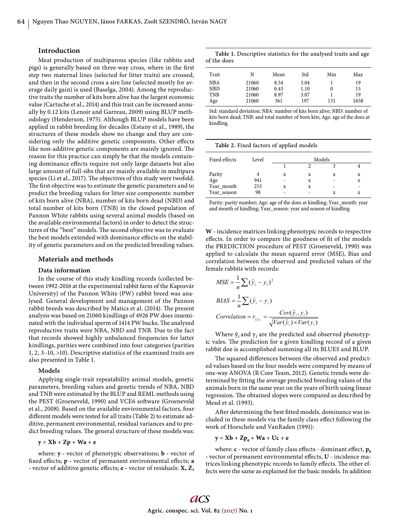## **Introduction**

Meat production of multiparous species (like rabbits and pigs) is generally based on three-way cross, where in the first step two maternal lines (selected for litter traits) are crossed, and then in the second cross a sire line (selected mostly for average daily gain) is used (Baselga, 2004). Among the reproductive traits the number of kits born alive has the largest economic value (Cartuche et al., 2014) and this trait can be increased annually by 0.12 kits (Lenoir and Garreau, 2009) using BLUP methodology (Henderson, 1975). Although BLUP models have been applied in rabbit breeding for decades (Estany et al., 1989), the structures of these models show no change and they are considering only the additive genetic components. Other effects like non-additive genetic components are mainly ignored. The reason for this practice can simply be that the models containing dominance effects require not only large datasets but also large amount of full-sibs that are mainly available in multipara species (Li et al., 2017). The objectives of this study were twofold. The first objective was to estimate the genetic parameters and to predict the breeding values for litter size components: number of kits born alive (NBA), number of kits born dead (NBD) and total number of kits born (TNB) in the closed population of Pannon White rabbits using several animal models (based on the available environmental factors) in order to detect the structures of the "best" models. The second objective was to evaluate the best models extended with dominance effects on the stability of genetic parameters and on the predicted breeding values.

# **Materials and methods**

### **Data information**

In the course of this study kindling records (collected between 1992-2016 at the experimental rabbit farm of the Kaposvár University) of the Pannon White (PW) rabbit breed was analysed. General development and management of the Pannon rabbit breeds was described by Matics et al. (2014). The present analysis was based on 21060 kindlings of 4926 PW does inseminated with the individual sperm of 1414 PW bucks. The analyzed reproductive traits were NBA, NBD and TNB. Due to the fact that records showed highly unbalanced frequencies for latter kindlings, parities were combined into four categories (parities 1, 2, 3–10, >10). Descriptive statistics of the examined traits are also presented in Table 1.

#### **Models**

Applying single-trait repeatability animal models, genetic parameters, breeding values and genetic trends of NBA, NBD and TNB were estimated by the BLUP and REML methods using the PEST (Groeneveld, 1990) and VCE6 software (Groeneveld et al., 2008). Based on the available environmental factors, four different models were tested for all traits (Table 2) to estimate additive, permanent environmental, residual variances and to predict breeding values. The general structure of these models was:

# **y** = **Xb** + **Zp** + **Wa** + **e**

where: **y -** vector of phenotypic observations; **b -** vector of fixed effects; **p** - vector of permanent environmental effects; **a** - vector of additive genetic effects; **e** - vector of residuals: **X**, **Z**,

**Table 1.** Descriptive statistics for the analysed traits and age of the does

| Trait      | N     | Mean | Std  | Min | Max  |
|------------|-------|------|------|-----|------|
| NBA        | 21060 | 8.54 | 3.04 |     | 19   |
| NBD        | 21060 | 0.43 | 1.10 |     | 15   |
| <b>TNB</b> | 21060 | 8.97 | 3.07 |     | 19   |
| Age        | 21060 | 361  | 197  | 131 | 1658 |

Std: standard deviation; NBA: number of kits born alive; NBD: number of kits born dead; TNB: and total number of born kits; Age: age of the does at kindling.

|               |       | . .    |   |   |   |  |
|---------------|-------|--------|---|---|---|--|
| Fixed effects | Level | Models |   |   |   |  |
|               |       |        |   |   |   |  |
| Parity        |       | X      | X | X | x |  |
| Age           | 941   |        | X | ۰ | X |  |
| Year_month    | 253   | X      | X | ۰ | - |  |
| Year_season   | 98    |        |   | X | X |  |

**Table 2.** Fixed factors of applied models

Parity: parity number; Age: age of the does at kindling; Year\_month: year and month of kindling; Year\_season: year and season of kindling

**W** - incidence matrices linking phenotypic records to respective effects. In order to compare the goodness of fit of the models the PREDICTION procedure of PEST (Groeneveld, 1990) was applied to calculate the mean squared error (MSE), Bias and correlation between the observed and predicted values of the female rabbits with records:

$$
MSE = \frac{1}{n} \sum (\hat{y}_i - y_i)^2
$$
  
\n
$$
BIAS = \frac{1}{n} \sum (\hat{y}_i - y_i)
$$
  
\n
$$
Correlation = r_{\hat{y}_i y_i} = \frac{Cov(\hat{y}_i, y_i)}{\sqrt{Var(\hat{y}_i) \times Var(y_i)}}
$$

Where  $\hat{y}_i$  and  $y_i$  are the predicted and observed phenotypic vales. The prediction for a given kindling record of a given rabbit doe is accomplished summing all its BLUES and BLUP.

The squared differences between the observed and predicted values based on the four models were compared by means of one-way ANOVA (R Core Team, 2012). Genetic trends were determined by fitting the average predicted breeding values of the animals born in the same year on the years of birth using linear regression. The obtained slopes were compared as described by Mead et al. (1993).

After determining the best fitted models, dominance was included in these models via the family class effect following the work of Hoeschele and VanRaden (1991):

$$
y = Xb + Zp_e + Wa + Uc + e
$$

where: **c** - vector of family class effects - dominant effect,  $\mathbf{p}_e$ - vector of permanent environmental effects, U - incidence matrices linking phenotypic records to family effects. The other effects were the same as explained for the basic models. In addition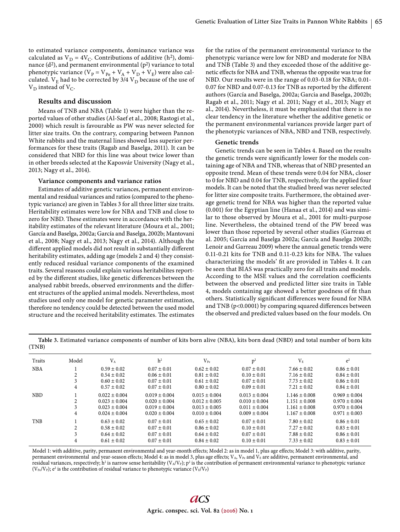to estimated variance components, dominance variance was calculated as  $V_D = 4V_C$ . Contributions of additive (h<sup>2</sup>), dominance  $(d^2)$ , and permanent environmental  $(p^2)$  variance to total phenotypic variance ( $V_P = V_{Pe} + V_A + V_D + V_E$ ) were also calculated.  $V_E$  had to be corrected by 3/4  $V_D$  because of the use of  $V_D$  instead of  $V_C$ .

# **Results and discussion**

Means of TNB and NBA (Table 1) were higher than the reported values of other studies (Al-Saef et al., 2008; Rastogi et al., 2000) which result is favourable as PW was never selected for litter size traits. On the contrary, comparing between Pannon White rabbits and the maternal lines showed less superior performances for these traits (Ragab and Baselga, 2011). It can be considered that NBD for this line was about twice lower than in other breeds selected at the Kaposvár University (Nagy et al., 2013; Nagy et al., 2014).

### **Variance components and variance ratios**

Estimates of additive genetic variances, permanent environmental and residual variances and ratios (compared to the phenotypic variance) are given in Tables 3 for all three litter size traits. Heritability estimates were low for NBA and TNB and close to zero for NBD. These estimates were in accordance with the heritability estimates of the relevant literature (Moura et al., 2001; García and Baselga, 2002a; García and Baselga, 2002b; Mantovani et al., 2008; Nagy et al., 2013; Nagy et al., 2014). Although the different applied models did not result in substantially different heritability estimates, adding age (models 2 and 4) they consistently reduced residual variance components of the examined traits. Several reasons could explain various heritabilites reported by the different studies, like genetic differences between the analysed rabbit breeds, observed environments and the different structures of the applied animal models. Nevertheless, most studies used only one model for genetic parameter estimation, therefore no tendency could be detected between the used model structure and the received heritability estimates. The estimates

for the ratios of the permanent environmental variance to the phenotypic variance were low for NBD and moderate for NBA and TNB (Table 3) and they exceeded those of the additive genetic effects for NBA and TNB, whereas the opposite was true for NBD. Our results were in the range of 0.03-0.18 for NBA; 0.01- 0.07 for NBD and 0.07-0.13 for TNB as reported by the different authors (García and Baselga, 2002a; Garcia and Baselga, 2002b; Ragab et al., 2011; Nagy et al. 2011; Nagy et al., 2013; Nagy et al., 2014). Nevertheless, it must be emphasized that there is no clear tendency in the literature whether the additive genetic or the permanent environmental variances provide larger part of the phenotypic variances of NBA, NBD and TNB, respectively.

## **Genetic trends**

Genetic trends can be seen in Tables 4. Based on the results the genetic trends were significantly lower for the models containing age of NBA and TNB, whereas that of NBD presented an opposite trend. Mean of these trends were 0.04 for NBA, closer to 0 for NBD and 0.04 for TNB, respectively, for the applied four models. It can be noted that the studied breed was never selected for litter size composite traits. Furthermore, the obtained average genetic trend for NBA was higher than the reported value (0.001) for the Egyptian line (Hanaa et al., 2014) and was similar to those observed by Moura et al., 2001 for multi-purpose line. Nevertheless, the obtained trend of the PW breed was lower than those reported by several other studies (Garreau et al. 2005; García and Baselga 2002a; García and Baselga 2002b; Lenoir and Garreau 2009) where the annual genetic trends were  $0.11-0.21$  kits for TNB and  $0.11-0.23$  kits for NBA. The values characterizing the models' fit are provided in Tables 4. It can be seen that BIAS was practically zero for all traits and models. According to the MSE values and the correlation coefficients between the observed and predicted litter size traits in Table 4, models containing age showed a better goodness of fit than others. Statistically significant differences were found for NBA and TNB ( $p$ <0.0001) by comparing squared differences between the observed and predicted values based on the four models. On

**Table 3.** Estimated variance components of number of kits born alive (NBA), kits born dead (NBD) and total number of born kits (TNB)

| Traits     | Model          | $V_A$             | h <sup>2</sup>    | $V_{\rm Pe}$      | p <sup>2</sup>    | $V_{E}$           | $e^2$             |
|------------|----------------|-------------------|-------------------|-------------------|-------------------|-------------------|-------------------|
| <b>NBA</b> |                | $0.59 \pm 0.02$   | $0.07 \pm 0.01$   | $0.62 \pm 0.02$   | $0.07 \pm 0.01$   | $7.66 \pm 0.02$   | $0.86 \pm 0.01$   |
|            |                | $0.54 \pm 0.02$   | $0.06 \pm 0.01$   | $0.81 \pm 0.02$   | $0.10 \pm 0.01$   | $7.16 \pm 0.02$   | $0.84 \pm 0.01$   |
|            |                | $0.60 \pm 0.02$   | $0.07 \pm 0.01$   | $0.61 \pm 0.02$   | $0.07 \pm 0.01$   | $7.73 \pm 0.02$   | $0.86 \pm 0.01$   |
|            | 4              | $0.57 \pm 0.02$   | $0.07 \pm 0.01$   | $0.80 \pm 0.02$   | $0.09 \pm 0.01$   | $7.21 \pm 0.02$   | $0.84 \pm 0.01$   |
| <b>NBD</b> |                | $0.022 \pm 0.004$ | $0.019 \pm 0.004$ | $0.015 \pm 0.004$ | $0.013 \pm 0.004$ | $1.146 \pm 0.008$ | $0.969 \pm 0.004$ |
|            |                | $0.023 \pm 0.004$ | $0.020 \pm 0.004$ | $0.012 \pm 0.005$ | $0.010 \pm 0.004$ | $1.151 \pm 0.008$ | $0.970 \pm 0.004$ |
|            |                | $0.023 \pm 0.004$ | $0.019 \pm 0.004$ | $0.013 \pm 0.005$ | $0.011 \pm 0.004$ | $1.161 \pm 0.008$ | $0.970 \pm 0.004$ |
|            | 4              | $0.024 \pm 0.004$ | $0.020 \pm 0.004$ | $0.010 \pm 0.004$ | $0.009 \pm 0.004$ | $1.167 \pm 0.008$ | $0.971 \pm 0.003$ |
| <b>TNB</b> |                | $0.63 \pm 0.02$   | $0.07 \pm 0.01$   | $0.65 \pm 0.02$   | $0.07 \pm 0.01$   | $7.80 \pm 0.02$   | $0.86 \pm 0.01$   |
|            | $\mathfrak{D}$ | $0.58 \pm 0.02$   | $0.07 \pm 0.01$   | $0.86 \pm 0.02$   | $0.10 \pm 0.01$   | $7.27 \pm 0.02$   | $0.83 \pm 0.01$   |
|            |                | $0.64 \pm 0.02$   | $0.07 \pm 0.01$   | $0.64 \pm 0.02$   | $0.07 \pm 0.01$   | $7.88 \pm 0.02$   | $0.86 \pm 0.01$   |
|            | 4              | $0.61 \pm 0.02$   | $0.07 \pm 0.01$   | $0.84 \pm 0.02$   | $0.10 \pm 0.01$   | $7.33 \pm 0.02$   | $0.83 \pm 0.01$   |

Model 1: with additive, parity, permanent environmental and year-month effects; Model 2: as in model 1, plus age effects; Model 3: with additive, parity, permanent environmental and year-season effects; Model 4: as in model 3, plus age effects;  $V_A$ ,  $V_{Pe}$  and  $V_E$  are additive, permanent environmental, and residual variances, respectively; h<sup>2</sup> is narrow sense heritability (V<sub>A</sub>/V<sub>P</sub>); p<sup>2</sup> is the contribution of permanent environmental variance to phenotypic variance ( $V_{\text{Pe}}/V_{\text{P}}$ );  $e^2$  is the contribution of residual variance to phenotypic variance ( $V_{\text{E}}/V_{\text{P}}$ )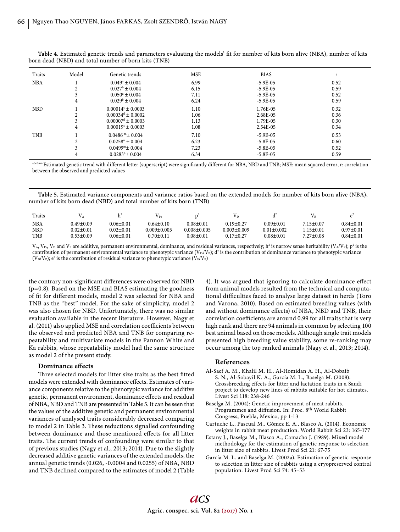| Table 4. Estimated genetic trends and parameters evaluating the models' fit for number of kits born alive (NBA), number of kits |  |  |
|---------------------------------------------------------------------------------------------------------------------------------|--|--|
| born dead (NBD) and total number of born kits (TNB)                                                                             |  |  |

| Traits     | Model          | Genetic trends                  | <b>MSE</b> | <b>BIAS</b> |      |
|------------|----------------|---------------------------------|------------|-------------|------|
| <b>NBA</b> |                | $0.049^a \pm 0.004$             | 6.99       | $-5.9E-05$  | 0.52 |
|            |                | $0.027^b \pm 0.004$             | 6.15       | $-5.9E-05$  | 0.59 |
|            |                | $0.050^a \pm 0.004$             | 7.11       | $-5.9E-05$  | 0.52 |
|            | 4              | $0.029^{\rm b} \pm 0.004$       | 6.24       | $-5.9E-05$  | 0.59 |
| <b>NBD</b> |                | $0.00014c \pm 0.0003$           | 1.10       | 1.76E-05    | 0.32 |
|            | ∠              | $0.00034^d \pm 0.0002$          | 1.06       | 2.68E-05    | 0.36 |
|            |                | $0.00007^d \pm 0.0003$          | 1.13       | 1.79E-05    | 0.30 |
|            | 4              | $0.00019c \pm 0.0003$           | 1.08       | 2.54E-05    | 0.34 |
| <b>TNB</b> |                | $0.0486$ m $\pm 0.004$          | 7.10       | $-5.9E-05$  | 0.53 |
|            | z              | $0.0258^{\mathrm{n}} \pm 0.004$ | 6.23       | $-5.8E-0.5$ | 0.60 |
|            | 3              | $0.0499^{\mathrm{m}}$ + 0.004   | 7.23       | $-5.8E-05$  | 0.52 |
|            | $\overline{4}$ | $0.0283$ <sup>n</sup> ± 0.004   | 6.34       | $-5.8E-05$  | 0.59 |

abcdmn Estimated genetic trend with different letter (superscript) were significantly different for NBA, NBD and TNB; MSE: mean squared error, r: correlation between the observed and predicted values

**Table 5.** Estimated variance components and variance ratios based on the extended models for number of kits born alive (NBA), number of kits born dead (NBD) and total number of kits born (TNB)

| Traits            |                                    | h۴                                 | $\rm V_{\rm Pe}$                     |                                      | V D                                  |                                     |                        |                                    |
|-------------------|------------------------------------|------------------------------------|--------------------------------------|--------------------------------------|--------------------------------------|-------------------------------------|------------------------|------------------------------------|
| <b>NBA</b><br>NBD | $0.49 \pm 0.09$<br>$0.02 \pm 0.01$ | $0.06 \pm 0.01$<br>$0.02 \pm 0.01$ | $0.64 \pm 0.10$<br>$0.009 \pm 0.005$ | $0.08 \pm 0.01$<br>$0.008 \pm 0.005$ | $0.19 \pm 0.27$<br>$0.003 \pm 0.009$ | $0.09 \pm 0.01$<br>$0.01 \pm 0.002$ | 7.15±0.07<br>l.15±0.01 | $0.84 \pm 0.01$<br>$0.97 \pm 0.01$ |
| <b>TNB</b>        | $0.53 + 0.09$                      | $0.06 \pm 0.01$                    | $0.70 \pm 0.11$                      | $0.08 + 0.01$                        | $0.17+0.27$                          | $0.08 + 0.01$                       | $7.27 \pm 0.08$        | $0.84 \pm 0.01$                    |

 $V_A$ ,  $V_{\text{Pe}}$ ,  $V_D$  and  $V_E$  are additive, permanent environmental, dominance, and residual variances, respectively;  $h^2$  is narrow sense heritability (V<sub>A</sub>/V<sub>P</sub>);  $p^2$  is the contribution of permanent environmental variance to phenotypic variance (V<sub>Pe</sub>/V<sub>P</sub>); d<sup>2</sup> is the contribution of dominance variance to phenotypic variance ( $V_D/V_P$ );  $e^2$  is the contribution of residual variance to phenotypic variance ( $V_E/V_P$ )

the contrary non-significant differences were observed for NBD (p=0.8). Based on the MSE and BIAS estimating the goodness of fit for different models, model 2 was selected for NBA and TNB as the "best" model. For the sake of simplicity, model 2 was also chosen for NBD. Unfortunately, there was no similar evaluation available in the recent literature. However, Nagy et al. (2011) also applied MSE and correlation coefficients between the observed and predicted NBA and TNB for comparing repeatability and multivariate models in the Pannon White and Ka rabbits, whose repeatability model had the same structure as model 2 of the present study.

## **Dominance effects**

Three selected models for litter size traits as the best fitted models were extended with dominance effects. Estimates of variance components relative to the phenotypic variance for additive genetic, permanent environment, dominance effects and residual of NBA, NBD and TNB are presented in Table 5. It can be seen that the values of the additive genetic and permanent environmental variances of analysed traits considerably decreased comparing to model 2 in Table 3. These reductions signalled confounding between dominance and those mentioned effects for all litter traits. The current trends of confounding were similar to that of previous studies (Nagy et al., 2013; 2014). Due to the slightly decreased additive genetic variances of the extended models, the annual genetic trends (0.026, -0.0004 and 0.0255) of NBA, NBD and TNB declined compared to the estimates of model 2 (Table

4). It was argued that ignoring to calculate dominance effect from animal models resulted from the technical and computational difficulties faced to analyse large dataset in herds (Toro and Varona, 2010). Based on estimated breeding values (with and without dominance effects) of NBA, NBD and TNB, their correlation coefficients are around 0.99 for all traits that is very high rank and there are 94 animals in common by selecting 100 best animal based on those models. Although single trait models presented high breeding value stability, some re-ranking may occur among the top ranked animals (Nagy et al., 2013; 2014).

## **References**

- Al-Saef A. M., Khalil M. H., Al-Homidan A. H., Al-Dobaib S. N., Al-Sobayil K. A., García M. L., Baselga M. (2008). Crossbreeding effects for litter and lactation traits in a Saudi project to develop new lines of rabbits suitable for hot climates. Livest Sci 118: 238-246
- Baselga M. (2004): Genetic improvement of meat rabbits. Programmes and diffusion. In: Proc. 8<sup>th</sup> World Rabbit Congress, Puebla, Mexico, pp 1-13
- Cartuche L., Pascual M., Gómez E. A., Blasco A. (2014). Economic weights in rabbit meat production. World Rabbit Sci 23: 165-177
- Estany J., Baselga M., Blasco A., Camacho J. (1989). Mixed model methodology for the estimation of genetic response to selection in litter size of rabbits. Livest Prod Sci 21: 67-75
- García M. L. and Baselga M. (2002a). Estimation of genetic response to selection in litter size of rabbits using a cryopreserved control population. Livest Prod Sci 74: 45–53